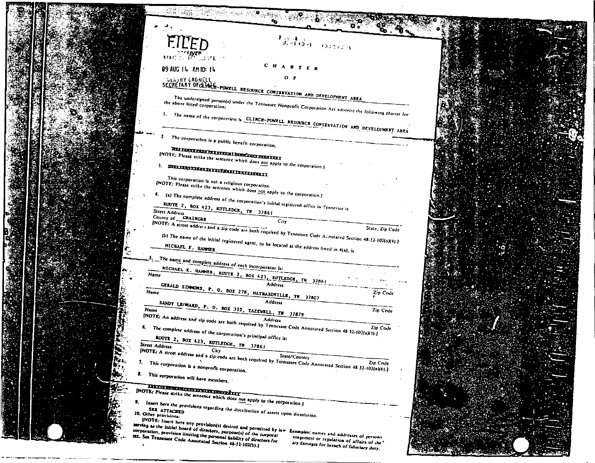|  | $\mathcal{F}_{\mathcal{Q}_2 \sim \mathcal{X} \times \mathcal{Y}}^{\mathcal{Q}_2 \times \mathcal{X} \times \mathcal{Y}}_{\mathcal{Q}_2 \sim \mathcal{Y} \times \mathcal{Y} \times \mathcal{Y} \times \mathcal{Y}}$<br><b>FILED</b>                                                                       |
|--|---------------------------------------------------------------------------------------------------------------------------------------------------------------------------------------------------------------------------------------------------------------------------------------------------------|
|  | <b>REACTORINER</b><br>REACTORING WATER                                                                                                                                                                                                                                                                  |
|  | CHARTER<br>89 AUG 14 AM 10:14                                                                                                                                                                                                                                                                           |
|  | $O$ $\blacktriangleright$<br><b>GEIGHT CROWELL</b><br>SECRETARY OF GLING POWELL RESOURCE CONSERVATION AND DEVELOPMENT AREA                                                                                                                                                                              |
|  | the above listed corporation:                                                                                                                                                                                                                                                                           |
|  | The undersigned person(s) under the Tennessee Nonprofit Corporation Act adopt(s) the following charter for                                                                                                                                                                                              |
|  | I. The name of the corporation is CLINCH-POWELL RESOURCE CONSERVATION AND DEVELOPMENT AREA                                                                                                                                                                                                              |
|  | z.<br>The corporation is a public benefit corporation.                                                                                                                                                                                                                                                  |
|  | WAR NAPOLEKANI AR KARAMAN DI BIOGOBOL MERKETIKAN<br>(NOTE: Please strike the sentence which does not apply to the corporation.)                                                                                                                                                                         |
|  | <b>REAL EXPLORATION AND EXPLORATION CONTINUES.</b>                                                                                                                                                                                                                                                      |
|  | This corporation is not a religious corporation.<br>[NOTE: Please strike the sentence which does not apply to the corporation.]                                                                                                                                                                         |
|  | (a) The complete address of the corporation's initial registered office in Tennessee is                                                                                                                                                                                                                 |
|  | ROUTE 2, BOX 423, RUTLEDCK, TN $37861$<br>Street Address<br>County of CRAINCER                                                                                                                                                                                                                          |
|  | [NOTE: A street address and a zip code are both required by Tennessee Code Annotated Section 48-52-102(a)(4).]                                                                                                                                                                                          |
|  | (b) The name of the initial registered agent, to be focated at the address fixted in 4(a), is                                                                                                                                                                                                           |
|  | 5. The name and complete address of each incorporator is:                                                                                                                                                                                                                                               |
|  | MICHAEL K. HAMMER, ROUTE 2, BOX 423, RUTLEDGE, TN. 32861<br>Name                                                                                                                                                                                                                                        |
|  | GERALD SIMMONS, P. O. BOX 278, MAYMAZDVILLE, TH 37807<br>Name<br>Zip Code                                                                                                                                                                                                                               |
|  | SANDT LEOWARD, P. O. BOX 332, TAZEWELL, TW 37879<br>Zip Code<br>Name                                                                                                                                                                                                                                    |
|  | INOTE: An address and zip code are both required by Tennessee Code Annotated Section 48-52-102(a)(3).                                                                                                                                                                                                   |
|  | Zip Code<br>The complete address of the corporation's principal office is:                                                                                                                                                                                                                              |
|  | ROUTE 2, BOX 423, RUTLEDGE, TH 37861<br>Street Address                                                                                                                                                                                                                                                  |
|  | (NOTE: A street address and a zip code are both required by Tennessee Code Annotated Section 48-52-102(a)(6).]<br>7. This corporation is a nonprofit corporation.                                                                                                                                       |
|  | 8. This corporation will have members.                                                                                                                                                                                                                                                                  |
|  | THE RESIDENCE OF PERSONS REPORTED THE RESIDENCE OF REAL PROPERTY.<br>[NOTE: Please strike the sentence which does not apply to the corporation.]                                                                                                                                                        |
|  | Insert here the provisions regarding the distribution of assets upon dissolution.<br>10. Other provisions:                                                                                                                                                                                              |
|  | [NOTE: Insert here any provision(s) desired and permitted by law                                                                                                                                                                                                                                        |
|  | serving as the initiat board of directors, purpose(s) of the corporar<br>corporation, provision limiting the personal liability of directors for<br>Examples: names and addresses of persons<br>etc. See Tennessee Code Annotated Section 44-32-102(b).)<br>anagement or regulation of affairs of the * |
|  | ary damages for breach of fiduciary duty,                                                                                                                                                                                                                                                               |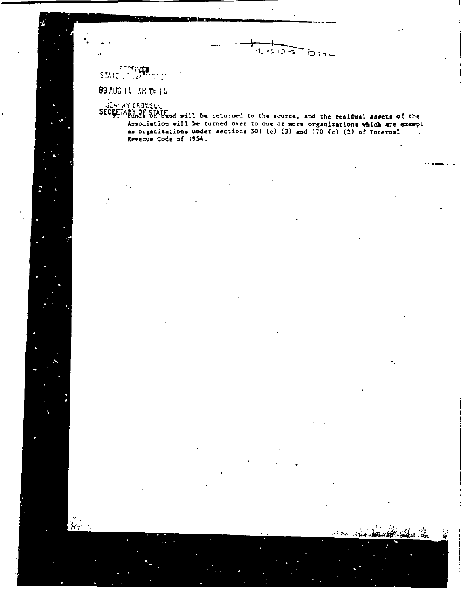STATE:

89 AUG 14 AH 10: 14

dishar CADWELL<br>SECRETARY OF SHAFF of will be returned to the source, and the residual assets of the<br>SECRETARY OF SHAFF of the furned over to one or more organizations which are exempt Association will be turned over to one or more organizations which are exempt as organizations under sections 501 (c) (3) and 170 (c) (2) of Internal Revenue Code of 1954.

 $1 - 112 - 1$ 

bia-

ä.